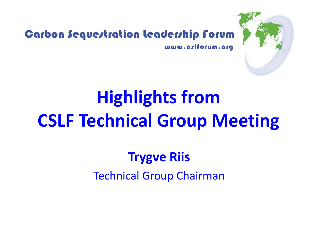

## Carbon Sequestration leadership forum

www.crlforum.org

# **Highlights from CSLF Technical Group Meeting**

## **Trygve Riis**

Technical Group Chairman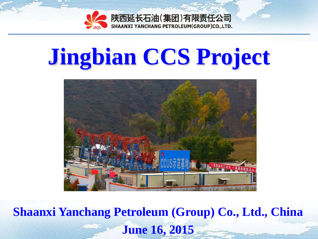

# **Jingbian CCS Project**



**Shaanxi Yanchang Petroleum (Group) Co., Ltd., China June 16, 2015**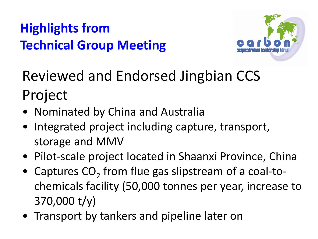

Reviewed and Endorsed Jingbian CCS Project

- Nominated by China and Australia
- Integrated project including capture, transport, storage and MMV
- Pilot-scale project located in Shaanxi Province, China
- Captures  $CO<sub>2</sub>$  from flue gas slipstream of a coal-tochemicals facility (50,000 tonnes per year, increase to 370,000 t/y)
- Transport by tankers and pipeline later on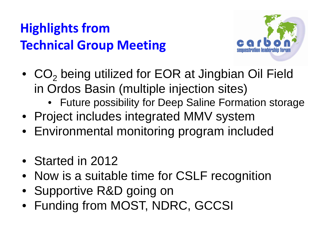

- CO<sub>2</sub> being utilized for EOR at Jingbian Oil Field in Ordos Basin (multiple injection sites)
	- Future possibility for Deep Saline Formation storage
- Project includes integrated MMV system
- Environmental monitoring program included
- Started in 2012
- Now is a suitable time for CSLF recognition
- Supportive R&D going on
- Funding from MOST, NDRC, GCCSI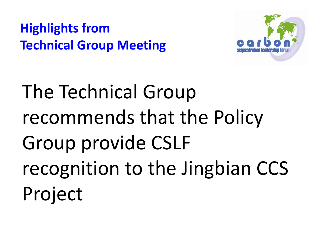

The Technical Group recommends that the Policy Group provide CSLF recognition to the Jingbian CCS Project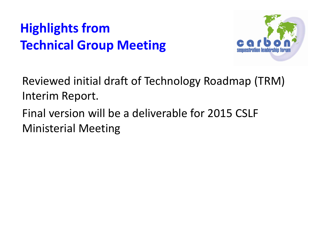

Reviewed initial draft of Technology Roadmap (TRM) Interim Report.

Final version will be a deliverable for 2015 CSLF Ministerial Meeting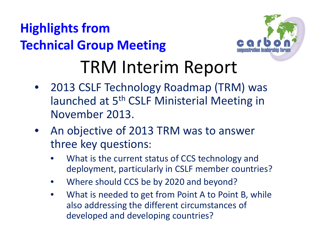

## TRM Interim Report

- 2013 CSLF Technology Roadmap (TRM) was launched at 5<sup>th</sup> CSLF Ministerial Meeting in November 2013.
- An objective of 2013 TRM was to answer three key questions:
	- What is the current status of CCS technology and deployment, particularly in CSLF member countries?
	- Where should CCS be by 2020 and beyond?
	- What is needed to get from Point A to Point B, while also addressing the different circumstances of developed and developing countries?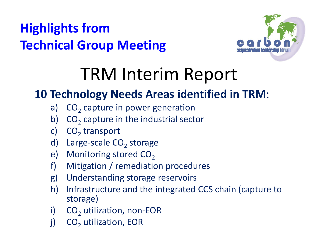

## TRM Interim Report

#### **10 Technology Needs Areas identified in TRM**:

- a)  $CO<sub>2</sub>$  capture in power generation
- b)  $CO<sub>2</sub>$  capture in the industrial sector
- c)  $CO<sub>2</sub>$  transport
- d) Large-scale  $CO<sub>2</sub>$  storage
- e) Monitoring stored  $CO<sub>2</sub>$
- f) Mitigation / remediation procedures
- g) Understanding storage reservoirs
- h) Infrastructure and the integrated CCS chain (capture to storage)
- i)  $CO<sub>2</sub>$  utilization, non-EOR
- j)  $CO<sub>2</sub>$  utilization, EOR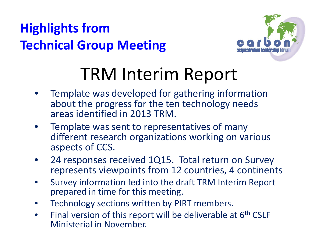

## TRM Interim Report

- Template was developed for gathering information about the progress for the ten technology needs areas identified in 2013 TRM.
- Template was sent to representatives of many different research organizations working on various aspects of CCS.
- 24 responses received 1Q15. Total return on Survey represents viewpoints from 12 countries, 4 continents
- Survey information fed into the draft TRM Interim Report prepared in time for this meeting.
- Technology sections written by PIRT members.
- Final version of this report will be deliverable at 6<sup>th</sup> CSLF Ministerial in November.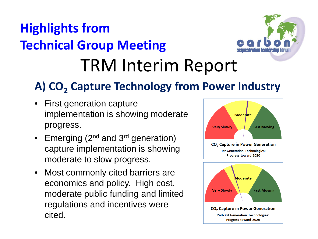## TRM Interim Report **Highlights from Technical Group Meeting**



#### A) CO<sub>2</sub> Capture Technology from Power Industry

- **First generation capture** implementation is showing moderate progress.
- Emerging  $(2^{nd}$  and  $3^{rd}$  generation) capture implementation is showing moderate to slow progress.
- Most commonly cited barriers are economics and policy. High cost, moderate public funding and limited regulations and incentives were cited.

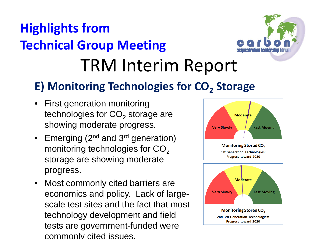## TRM Interim Report **Highlights from Technical Group Meeting**



#### **E) Monitoring Technologies for CO<sub>2</sub> Storage**

- First generation monitoring technologies for  $CO<sub>2</sub>$  storage are showing moderate progress.
- Emerging  $(2^{nd}$  and  $3^{rd}$  generation) monitoring technologies for  $CO<sub>2</sub>$ storage are showing moderate progress.
- Most commonly cited barriers are economics and policy. Lack of largescale test sites and the fact that most technology development and field tests are government-funded were commonly cited issues.

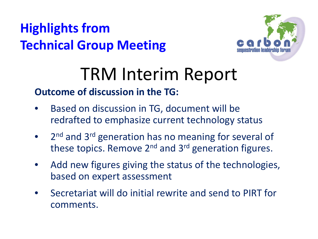

## TRM Interim Report

#### **Outcome of discussion in the TG:**

- Based on discussion in TG, document will be redrafted to emphasize current technology status
- 2<sup>nd</sup> and 3<sup>rd</sup> generation has no meaning for several of these topics. Remove  $2^{nd}$  and  $3^{rd}$  generation figures.
- Add new figures giving the status of the technologies, based on expert assessment
- Secretariat will do initial rewrite and send to PIRT for comments.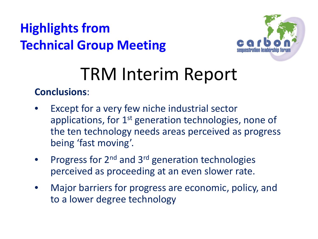

## TRM Interim Report

**Conclusions**:

- Except for a very few niche industrial sector applications, for 1<sup>st</sup> generation technologies, none of the ten technology needs areas perceived as progress being 'fast moving'.
- Progress for  $2^{nd}$  and  $3^{rd}$  generation technologies perceived as proceeding at an even slower rate.
- Major barriers for progress are economic, policy, and to a lower degree technology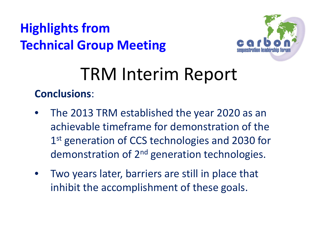

## TRM Interim Report

#### **Conclusions**:

- The 2013 TRM established the year 2020 as an achievable timeframe for demonstration of the 1<sup>st</sup> generation of CCS technologies and 2030 for demonstration of 2<sup>nd</sup> generation technologies.
- Two years later, barriers are still in place that inhibit the accomplishment of these goals.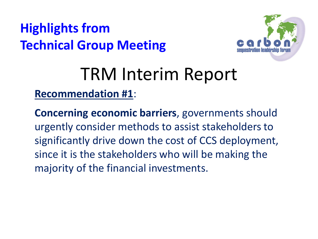

## TRM Interim Report

**Recommendation #1**:

**Concerning economic barriers**, governments should urgently consider methods to assist stakeholders to significantly drive down the cost of CCS deployment, since it is the stakeholders who will be making the majority of the financial investments.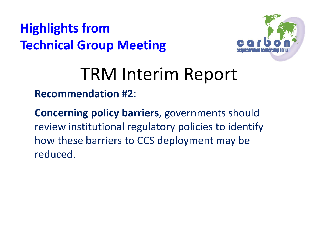

# TRM Interim Report

**Recommendation #2**:

**Concerning policy barriers**, governments should review institutional regulatory policies to identify how these barriers to CCS deployment may be reduced.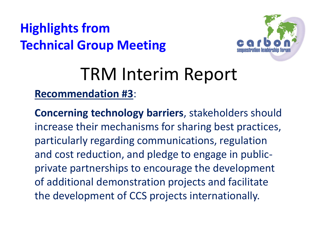

## TRM Interim Report

#### **Recommendation #3**:

**Concerning technology barriers**, stakeholders should increase their mechanisms for sharing best practices, particularly regarding communications, regulation and cost reduction, and pledge to engage in publicprivate partnerships to encourage the development of additional demonstration projects and facilitate the development of CCS projects internationally.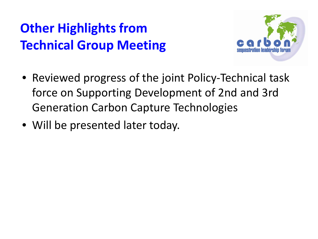

- Reviewed progress of the joint Policy-Technical task force on Supporting Development of 2nd and 3rd Generation Carbon Capture Technologies
- Will be presented later today.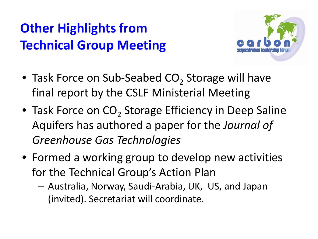

- Task Force on Sub-Seabed  $CO<sub>2</sub>$  Storage will have final report by the CSLF Ministerial Meeting
- Task Force on CO<sub>2</sub> Storage Efficiency in Deep Saline Aquifers has authored a paper for the *Journal of Greenhouse Gas Technologies*
- Formed a working group to develop new activities for the Technical Group's Action Plan
	- Australia, Norway, Saudi-Arabia, UK, US, and Japan (invited). Secretariat will coordinate.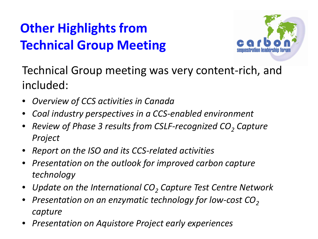

Technical Group meeting was very content-rich, and included:

- *Overview of CCS activities in Canada*
- *Coal industry perspectives in a CCS-enabled environment*
- *Review of Phase 3 results from CSLF-recognized CO<sub>2</sub> Capture Project*
- *Report on the ISO and its CCS-related activities*
- *Presentation on the outlook for improved carbon capture technology*
- Update on the International CO<sub>2</sub> Capture Test Centre Network
- *Presentation on an enzymatic technology for low-cost CO<sub>2</sub> capture*
- *Presentation on Aquistore Project early experiences*